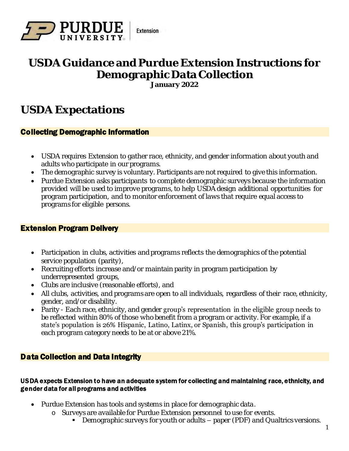

## **USDA Guidance and Purdue Extension Instructions for Demographic Data Collection January 2022**

## **USDA Expectations**

## Collecting Demographic Information

- USDA requires Extension to gather race, ethnicity, and gender information about youth and adults who participate in our programs.
- The demographic survey is voluntary. Participants are not required to give this information.
- Purdue Extension asks participants to complete demographic surveys because the information provided will be used to improve programs, to help USDA design additional opportunities for program participation, and to monitor enforcement of laws that require equal access to programs for eligible persons.

### Extension Program Delivery

- Participation in clubs, activities and programs reflects the demographics of the potential service population (parity),
- Recruiting efforts increase and/or maintain parity in program participation by underrepresented groups,
- Clubs are inclusive (reasonable efforts), and
- All clubs, activities, and programs are open to all individuals, regardless of their race, ethnicity, gender, and/or disability.
- Parity Each race, ethnicity, and gender group's representation in the eligible group needs to be reflected within 80% of those who benefit from a program or activity. For example, if a state's population is 26% Hispanic, Latino, Latinx, or Spanish, this group's participation in each program category needs to be at or above 21%.

## Data Collection and Data Integrity

#### USDA expects Extension to have an adequate system for collecting and maintaining race, ethnicity, and gender data for all programs and activities

- Purdue Extension has tools and systems in place for demographic data.
	- o Surveys are available for Purdue Extension personnel to use for events.
		- Demographic surveys for youth or adults paper (PDF) and Qualtrics versions.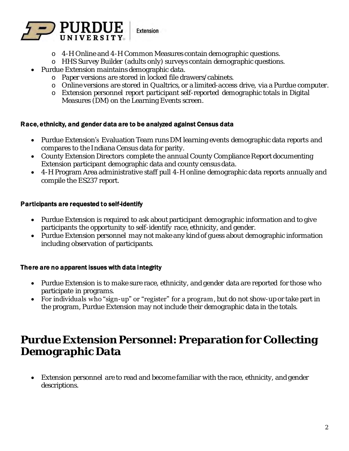

- o 4-H Online and 4-H Common Measures contain demographic questions.
- o HHS Survey Builder (adults only) surveys contain demographic questions.
- Purdue Extension maintains demographic data.
	- o Paper versions are stored in locked file drawers/cabinets.
	- o Online versions are stored in Qualtrics, or a limited-access drive, via a Purdue computer.
	- o Extension personnel report participant self-reported demographic totals in Digital Measures (DM) on the Learning Events screen.

#### Race, ethnicity, and gender data are to be analyzed against Census data

- Purdue Extension's Evaluation Team runs DM learning events demographic data reports and compares to the Indiana Census data for parity.
- County Extension Directors complete the annual County Compliance Report documenting Extension participant demographic data and county census data.
- 4-H Program Area administrative staff pull 4-H online demographic data reports annually and compile the ES237 report.

#### Participants are requested to self-identify

- Purdue Extension is required to ask about participant demographic information and to give participants the opportunity to self-identify race, ethnicity, and gender.
- Purdue Extension personnel may not make any kind of guess about demographic information including observation of participants.

#### There are no apparent issues with data integrity

- Purdue Extension is to make sure race, ethnicity, and gender data are reported for those who participate in programs.
- For individuals who "sign-up" or "register" for a program, but do not show-up or take part in the program, Purdue Extension may not include their demographic data in the totals.

## **Purdue Extension Personnel: Preparation for Collecting Demographic Data**

• Extension personnel are to read and become familiar with the race, ethnicity, and gender descriptions.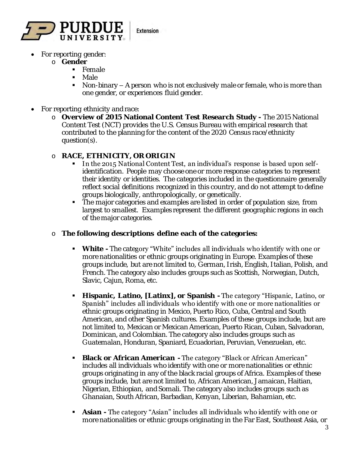

- For reporting gender:
	- o **Gender**
		- Female
		- Male
		- $\blacksquare$  Non-binary  $-$  A person who is not exclusively male or female, who is more than one gender, or experiences fluid gender.
- For reporting ethnicity and race:
	- o **Overview of 2015 National Content Test Research Study -** The 2015 National Content Test (NCT) provides the U.S. Census Bureau with empirical research that contributed to the planning for the content of the 2020 Census race/ethnicity question(s).
	- o **RACE, ETHNICITY, OR ORIGIN** 
		- In the 2015 National Content Test, an individual's response is based upon selfidentification. People may choose one or more response categories to represent their identity or identities. The categories included in the questionnaire generally reflect social definitions recognized in this country, and do not attempt to define groups biologically, anthropologically, or genetically.
		- The major categories and examples are listed in order of population size, from largest to smallest. Examples represent the different geographic regions in each of the major categories.
	- o **The following descriptions define each of the categories:** 
		- **White -** The category "White" includes all individuals who identify with one or more nationalities or ethnic groups originating in Europe. Examples of these groups include, but are not limited to, German, Irish, English, Italian, Polish, and French. The category also includes groups such as Scottish, Norwegian, Dutch, Slavic, Cajun, Roma, etc.
		- **Hispanic, Latino, [Latinx], or Spanish -** The category "Hispanic, Latino, or Spanish" includes all individuals who identify with one or more nationalities or ethnic groups originating in Mexico, Puerto Rico, Cuba, Central and South American, and other Spanish cultures. Examples of these groups include, but are not limited to, Mexican or Mexican American, Puerto Rican, Cuban, Salvadoran, Dominican, and Colombian. The category also includes groups such as Guatemalan, Honduran, Spaniard, Ecuadorian, Peruvian, Venezuelan, etc.
		- Black or African American The category "Black or African American" includes all individuals who identify with one or more nationalities or ethnic groups originating in any of the black racial groups of Africa. Examples of these groups include, but are not limited to, African American, Jamaican, Haitian, Nigerian, Ethiopian, and Somali. The category also includes groups such as Ghanaian, South African, Barbadian, Kenyan, Liberian, Bahamian, etc.
		- **Asian -** The category "Asian" includes all individuals who identify with one or more nationalities or ethnic groups originating in the Far East, Southeast Asia, or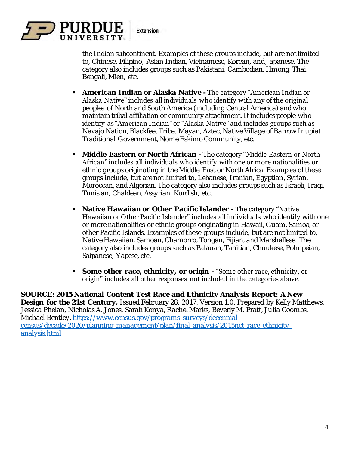

the Indian subcontinent. Examples of these groups include, but are not limited to, Chinese, Filipino, Asian Indian, Vietnamese, Korean, and Japanese. The category also includes groups such as Pakistani, Cambodian, Hmong, Thai, Bengali, Mien, etc.

- American Indian or Alaska Native The category "American Indian or Alaska Native" includes all individuals who identify with any of the original peoples of North and South America (including Central America) and who maintain tribal affiliation or community attachment. It includes people who identify as "American Indian" or "Alaska Native" and includes groups such as Navajo Nation, Blackfeet Tribe, Mayan, Aztec, Native Village of Barrow Inupiat Traditional Government, Nome Eskimo Community, etc.
- **EXECT After Arigan The category "Middle Eastern or North Caster Arigan Arigan Contract Arigan Contract Arigan Contract Arigan Contract Arigan Contract Arigan Contract Arigan Contract Arigan Contract Arigan Contract Arig** African" includes all individuals who identify with one or more nationalities or ethnic groups originating in the Middle East or North Africa. Examples of these groups include, but are not limited to, Lebanese, Iranian, Egyptian, Syrian, Moroccan, and Algerian. The category also includes groups such as Israeli, Iraqi, Tunisian, Chaldean, Assyrian, Kurdish, etc.
- Native Hawaiian or Other Pacific I slander The category "Native Hawaiian or Other Pacific Islander" includes all individuals who identify with one or more nationalities or ethnic groups originating in Hawaii, Guam, Samoa, or other Pacific Islands. Examples of these groups include, but are not limited to, Native Hawaiian, Samoan, Chamorro, Tongan, Fijian, and Marshallese. The category also includes groups such as Palauan, Tahitian, Chuukese, Pohnpeian, Saipanese, Yapese, etc.
- Some other race, ethnicity, or origin "Some other race, ethnicity, or origin" includes all other responses not included in the categories above.

**SOURCE: 2015 National Content Test Race and Ethnicity Analysis Report: A New Design for the 21st Century,** Issued February 28, 2017, Version 1.0, Prepared by Kelly Matthews, Jessica Phelan, Nicholas A. Jones, Sarah Konya, Rachel Marks, Beverly M. Pratt, Julia Coombs, Michael Bentley. [https://www.census.gov/programs-surveys/decennial](https://www.census.gov/programs-surveys/decennial-census/decade/2020/planning-management/plan/final-analysis/2015nct-race-ethnicity-analysis.html)[census/decade/2020/planning-management/plan/final-analysis/2015nct-race-ethnicity](https://www.census.gov/programs-surveys/decennial-census/decade/2020/planning-management/plan/final-analysis/2015nct-race-ethnicity-analysis.html)[analysis.html](https://www.census.gov/programs-surveys/decennial-census/decade/2020/planning-management/plan/final-analysis/2015nct-race-ethnicity-analysis.html)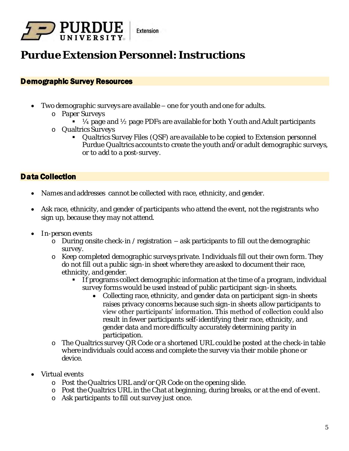

# **Purdue Extension Personnel: Instructions**

### Demographic Survey Resources

- Two demographic surveys are available one for youth and one for adults.
	- o Paper Surveys
		- $\blacksquare$   $\mathcal{V}_4$  page and  $\mathcal{V}_2$  page PDFs are available for both Youth and Adult participants
	- o Qualtrics Surveys
		- Qualtrics Survey Files (QSF) are available to be copied to Extension personnel Purdue Qualtrics accounts to create the youth and/or adult demographic surveys, or to add to a post-survey.

## Data Collection

- Names and addresses cannot be collected with race, ethnicity, and gender.
- Ask race, ethnicity, and gender of participants who attend the event, not the registrants who sign up, because they may not attend.
- In-person events
	- o During onsite check-in / registration ask participants to fill out the demographic survey.
	- o Keep completed demographic surveys private. Individuals fill out their own form. They do not fill out a public sign-in sheet where they are asked to document their race, ethnicity, and gender.
		- **•** If programs collect demographic information at the time of a program, individual survey forms would be used instead of public participant sign-in sheets.
			- Collecting race, ethnicity, and gender data on participant sign-in sheets raises privacy concerns because such sign-in sheets allow participants to view other participants' information. This method of collection could also result in fewer participants self-identifying their race, ethnicity, and gender data and more difficulty accurately determining parity in participation.
	- o The Qualtrics survey QR Code or a shortened URL could be posted at the check-in table where individuals could access and complete the survey via their mobile phone or device.
- Virtual events
	- o Post the Qualtrics URL and/or QR Code on the opening slide.
	- o Post the Qualtrics URL in the Chat at beginning, during breaks, or at the end of event.
	- o Ask participants to fill out survey just once.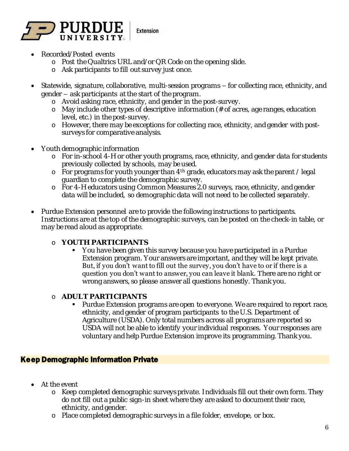

- Recorded/Posted events
	- o Post the Qualtrics URL and/or QR Code on the opening slide.
	- o Ask participants to fill out survey just once.
- Statewide, signature, collaborative, multi-session programs for collecting race, ethnicity, and gender – ask participants at the start of the program.
	- o Avoid asking race, ethnicity, and gender in the post-survey.
	- o May include other types of descriptive information (# of acres, age ranges, education level, etc.) in the post-survey.
	- o However, there may be exceptions for collecting race, ethnicity, and gender with postsurveys for comparative analysis.
- Youth demographic information
	- o For in-school 4-H or other youth programs, race, ethnicity, and gender data for students previously collected by schools, may be used.
	- o For programs for youth younger than 4th grade, educators may ask the parent / legal guardian to complete the demographic survey.
	- o For 4-H educators using Common Measures 2.0 surveys, race, ethnicity, and gender data will be included, so demographic data will not need to be collected separately.
- Purdue Extension personnel are to provide the following instructions to participants. Instructions are at the top of the demographic surveys, can be posted on the check-in table, or may be read aloud as appropriate.
	- o **YOUTH PARTICIPANTS**
		- You have been given this survey because you have participated in a Purdue Extension program. Your answers are important, and they will be kept private. But, if you don't want to fill out the survey, you don't have to or if there is a question you don't want to answer, you can leave it blank. There are no right or wrong answers, so please answer all questions honestly. Thank you.
	- o **ADULT PARTICIPANTS**
		- Purdue Extension programs are open to everyone. We are required to report race, ethnicity, and gender of program participants to the U.S. Department of Agriculture (USDA). Only total numbers across all programs are reported so USDA will not be able to identify your individual responses. Your responses are voluntary and help Purdue Extension improve its programming. Thank you.

### Keep Demographic Information Private

- At the event
	- o Keep completed demographic surveys private. Individuals fill out their own form. They do not fill out a public sign-in sheet where they are asked to document their race, ethnicity, and gender.
	- o Place completed demographic surveys in a file folder, envelope, or box.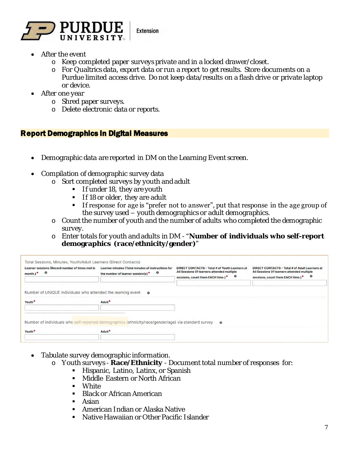

- After the event
	- o Keep completed paper surveys private and in a locked drawer/closet.
	- o For Qualtrics data, export data or run a report to get results. Store documents on a Purdue limited access drive. Do not keep data/results on a flash drive or private laptop or device.
- After one year
	- o Shred paper surveys.
	- o Delete electronic data or reports.

#### Report Demographics in Digital Measures

- Demographic data are reported in DM on the Learning Event screen.
- Compilation of demographic survey data
	- o Sort completed surveys by youth and adult
		- $\blacksquare$  If under 18, they are youth
		- **If 18 or older, they are adult**
		- **If response for age is "prefer not to answer", put that response in the age group of** the survey used – youth demographics or adult demographics.
	- o Count the number of youth and the number of adults who completed the demographic survey.
	- o Enter totals for youth and adults in DM "**Number of individuals who self-report demographics (race/ethnicity/gender)**"

| <b>Learner sessions (Record number of times met in</b><br>$\boldsymbol{\Theta}$<br>month.)* | <b>Learner minutes (Total minutes of instructions for</b><br>Θ<br>the number of learner session(s)*  | <b>DIRECT CONTACTS - Total # of Youth Learners at</b><br>All Sessions (If learners attended multiple<br>€<br>sessions, count them EACH time.)* | <b>DIRECT CONTACTS - Total # of Adult Learners at</b><br>All Sessions (If learners attended multiple<br>$\boldsymbol{\Theta}$<br>sessions, count them EACH time.)* |
|---------------------------------------------------------------------------------------------|------------------------------------------------------------------------------------------------------|------------------------------------------------------------------------------------------------------------------------------------------------|--------------------------------------------------------------------------------------------------------------------------------------------------------------------|
| Number of UNIQUE individuals who attended the learning event<br>Youth <sup>®</sup>          | - 0<br>Adult <sup>*</sup>                                                                            |                                                                                                                                                |                                                                                                                                                                    |
|                                                                                             | Number of individuals who self-reported demographics (ethnicity/race/gender/age) via standard survey | $\Omega$                                                                                                                                       |                                                                                                                                                                    |

- Tabulate survey demographic information.
	- o Youth surveys **Race/Ethnicity** Document total number of responses for:
		- **E** Hispanic, Latino, Latinx, or Spanish
		- Middle Eastern or North African
		- White
		- Black or African American
		- Asian
		- American Indian or Alaska Native
		- Native Hawaiian or Other Pacific I slander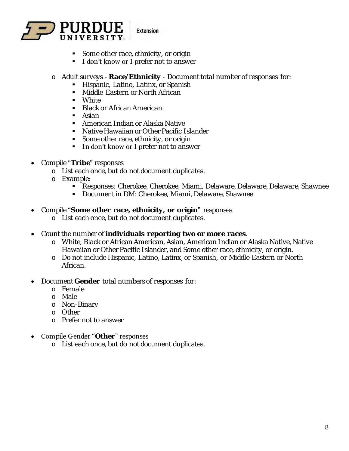

- Some other race, ethnicity, or origin
- **I don't know or I prefer not to answer**
- o Adult surveys **Race/Ethnicity** Document total number of responses for:
	- **E** Hispanic, Latino, Latinx, or Spanish
	- Middle Eastern or North African
	- White
	- Black or African American
	- Asian
	- American Indian or Alaska Native
	- Native Hawaiian or Other Pacific Islander
	- Some other race, ethnicity, or origin
	- **In don't know or I prefer not to answer**
- Compile "**Tribe**" responses
	- o List each once, but do not document duplicates.
	- o Example:
		- Responses: Cherokee, Cherokee, Miami, Delaware, Delaware, Delaware, Shawnee
		- Document in DM: Cherokee, Miami, Delaware, Shawnee
- Compile "**Some other race, ethnicity, or origin**" responses.
	- o List each once, but do not document duplicates.
- Count the number of **individuals reporting two or more races**.
	- o White, Black or African American, Asian, American Indian or Alaska Native, Native Hawaiian or Other Pacific Islander, and Some other race, ethnicity, or origin.
	- o Do not include Hispanic, Latino, Latinx, or Spanish, or Middle Eastern or North African.
- Document **Gender** total numbers of responses for:
	- o Female
	- o Male
	- o Non-Binary
	- o Other
	- o Prefer not to answer

#### • Compile Gender "**Other**" responses

o List each once, but do not document duplicates.